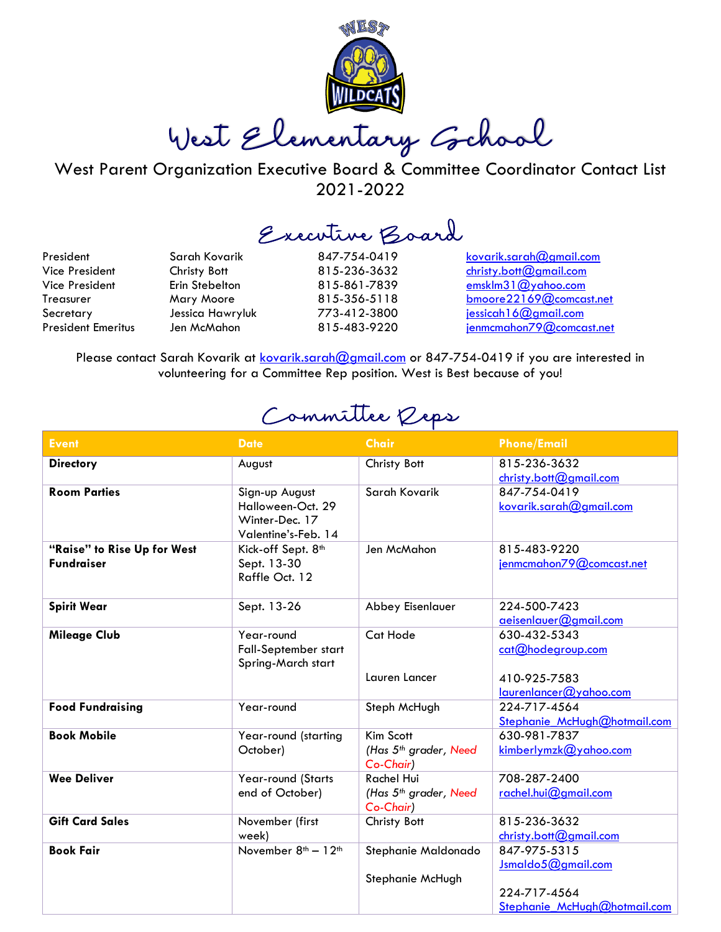

West Elementary School

West Parent Organization Executive Board & Committee Coordinator Contact List 2021-2022

Executive Board

President Sarah Kovarik 847-754-0419 [kovarik.sarah@gmail.com](mailto:kovarik.sarah@gmail.com) Vice President Christy Bott 815-236-3632 [christy.bott@gmail.com](mailto:christy.bott@gmail.com) Vice President Erin Stebelton 815-861-7839 [emsklm31@yahoo.com](mailto:emsklm31@yahoo.com) Treasurer Mary Moore 815-356-5118 [bmoore22169@comcast.net](mailto:bmoore22169@comcast.net) Secretary Jessica Hawryluk 773-412-3800 iessicah16@gmail.com President Emeritus Jen McMahon 815-483-9220 ienmcmahon79@comcast.net

Please contact Sarah Kovarik at [kovarik.sarah@gmail.com](mailto:kovarik.sarah@gmail.com) or 847-754-0419 if you are interested in volunteering for a Committee Rep position. West is Best because of you!

Committee Reps

| <b>Event</b>                                     | <b>Date</b>                                                                  | <b>Chair</b>                                                        | <b>Phone/Email</b>                                 |
|--------------------------------------------------|------------------------------------------------------------------------------|---------------------------------------------------------------------|----------------------------------------------------|
| <b>Directory</b>                                 | August                                                                       | Christy Bott                                                        | 815-236-3632<br>christy.bott@gmail.com             |
| <b>Room Parties</b>                              | Sign-up August<br>Halloween-Oct. 29<br>Winter-Dec. 17<br>Valentine's-Feb. 14 | Sarah Kovarik                                                       | 847-754-0419<br>kovarik.sarah@gmail.com            |
| "Raise" to Rise Up for West<br><b>Fundraiser</b> | Kick-off Sept. 8 <sup>th</sup><br>Sept. 13-30<br>Raffle Oct. 12              | Jen McMahon                                                         | 815-483-9220<br>jenmcmahon79@comcast.net           |
| <b>Spirit Wear</b>                               | Sept. 13-26                                                                  | Abbey Eisenlauer                                                    | 224-500-7423<br>aeisenlauer@gmail.com              |
| <b>Mileage Club</b>                              | Year-round<br>Fall-September start<br>Spring-March start                     | Cat Hode<br>Lauren Lancer                                           | 630-432-5343<br>cat@hodegroup.com<br>410-925-7583  |
|                                                  |                                                                              |                                                                     | laurenlancer@yahoo.com                             |
| <b>Food Fundraising</b>                          | Year-round                                                                   | Steph McHugh                                                        | 224-717-4564<br>Stephanie_McHugh@hotmail.com       |
| <b>Book Mobile</b>                               | Year-round (starting<br>October)                                             | Kim Scott<br>(Has 5 <sup>th</sup> grader, Need<br>Co-Chair)         | 630-981-7837<br>kimberlymzk@yahoo.com              |
| <b>Wee Deliver</b>                               | Year-round (Starts<br>end of October)                                        | <b>Rachel Hui</b><br>(Has 5 <sup>th</sup> grader, Need<br>Co-Chair) | 708-287-2400<br>rachel.hui@gmail.com               |
| <b>Gift Card Sales</b>                           | November (first<br>week)                                                     | Christy Bott                                                        | 815-236-3632<br>christy.bott@gmail.com             |
| <b>Book Fair</b>                                 | November $8th - 12th$                                                        | Stephanie Maldonado<br>Stephanie McHugh                             | 847-975-5315<br>Jsmaldo5@gmail.com<br>224-717-4564 |
|                                                  |                                                                              |                                                                     | Stephanie McHugh@hotmail.com                       |